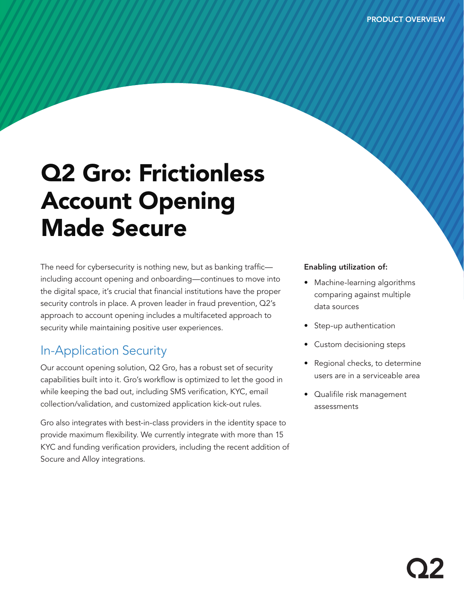# Q2 Gro: Frictionless Account Opening Made Secure

The need for cybersecurity is nothing new, but as banking traffic including account opening and onboarding—continues to move into the digital space, it's crucial that financial institutions have the proper security controls in place. A proven leader in fraud prevention, Q2's approach to account opening includes a multifaceted approach to security while maintaining positive user experiences.

## In-Application Security

Our account opening solution, Q2 Gro, has a robust set of security capabilities built into it. Gro's workflow is optimized to let the good in while keeping the bad out, including SMS verification, KYC, email collection/validation, and customized application kick-out rules.

Gro also integrates with best-in-class providers in the identity space to provide maximum flexibility. We currently integrate with more than 15 KYC and funding verification providers, including the recent addition of Socure and Alloy integrations.

### Enabling utilization of:

- Machine-learning algorithms comparing against multiple data sources
- Step-up authentication
- Custom decisioning steps
- Regional checks, to determine users are in a serviceable area
- Qualifile risk management assessments